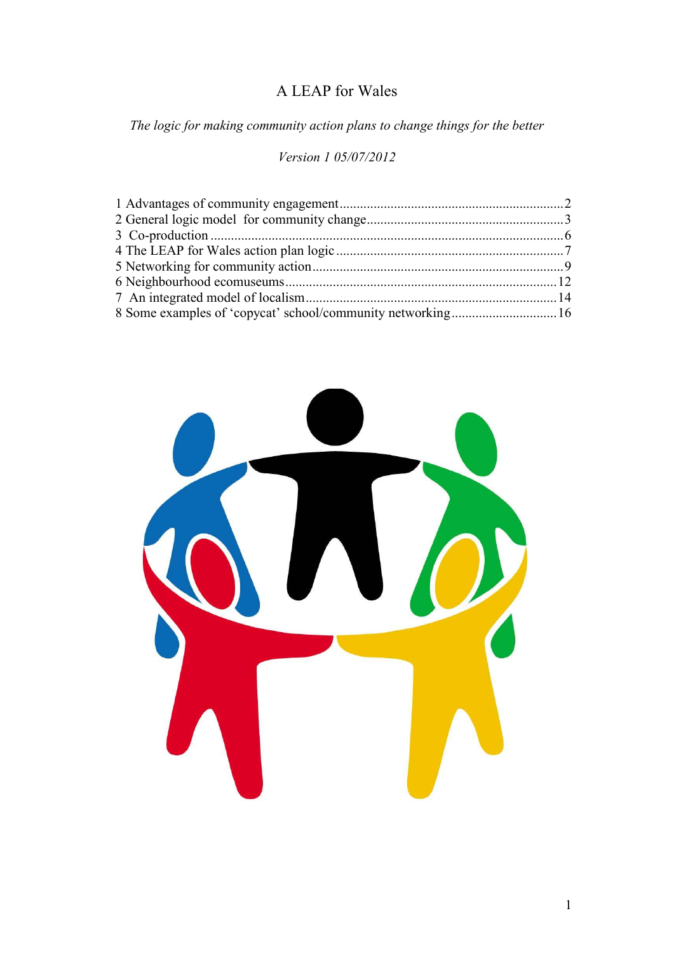# A LEAP for Wales

*The logic for making community action plans to change things for the better* 

#### *Version 1 05/07/2012*

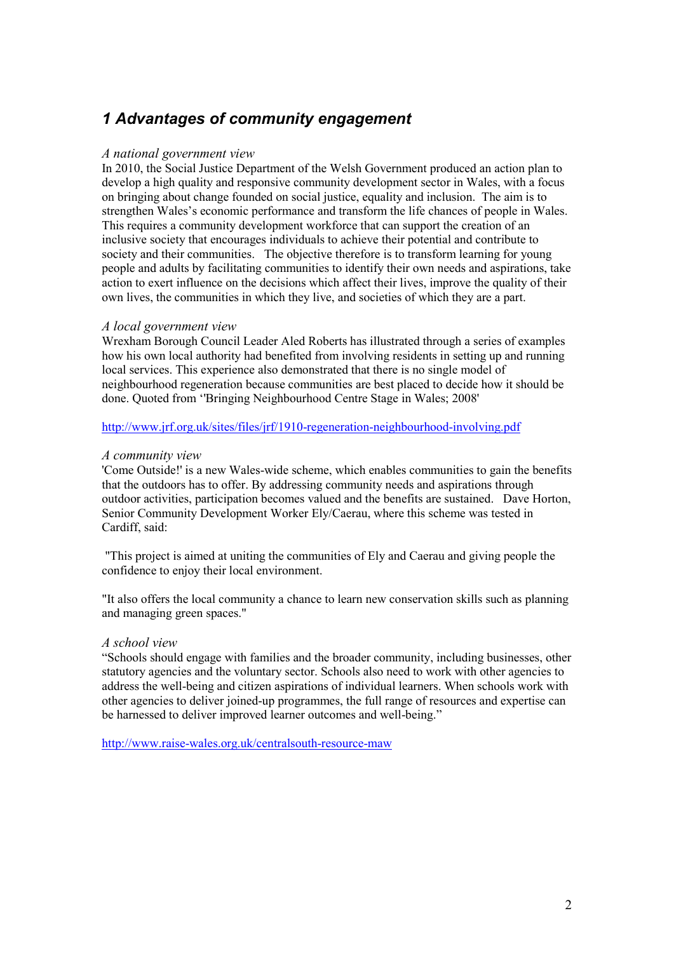# *1 Advantages of community engagement*

#### *A national government view*

In 2010, the Social Justice Department of the Welsh Government produced an action plan to develop a high quality and responsive community development sector in Wales, with a focus on bringing about change founded on social justice, equality and inclusion. The aim is to strengthen Wales's economic performance and transform the life chances of people in Wales. This requires a community development workforce that can support the creation of an inclusive society that encourages individuals to achieve their potential and contribute to society and their communities. The objective therefore is to transform learning for young people and adults by facilitating communities to identify their own needs and aspirations, take action to exert influence on the decisions which affect their lives, improve the quality of their own lives, the communities in which they live, and societies of which they are a part.

#### *A local government view*

Wrexham Borough Council Leader Aled Roberts has illustrated through a series of examples how his own local authority had benefited from involving residents in setting up and running local services. This experience also demonstrated that there is no single model of neighbourhood regeneration because communities are best placed to decide how it should be done. Quoted from ''Bringing Neighbourhood Centre Stage in Wales; 2008'

http://www.jrf.org.uk/sites/files/jrf/1910-regeneration-neighbourhood-involving.pdf

#### *A community view*

'Come Outside!' is a new Wales-wide scheme, which enables communities to gain the benefits that the outdoors has to offer. By addressing community needs and aspirations through outdoor activities, participation becomes valued and the benefits are sustained. Dave Horton, Senior Community Development Worker Ely/Caerau, where this scheme was tested in Cardiff, said:

 "This project is aimed at uniting the communities of Ely and Caerau and giving people the confidence to enjoy their local environment.

"It also offers the local community a chance to learn new conservation skills such as planning and managing green spaces."

#### *A school view*

"Schools should engage with families and the broader community, including businesses, other statutory agencies and the voluntary sector. Schools also need to work with other agencies to address the well-being and citizen aspirations of individual learners. When schools work with other agencies to deliver joined-up programmes, the full range of resources and expertise can be harnessed to deliver improved learner outcomes and well-being."

http://www.raise-wales.org.uk/centralsouth-resource-maw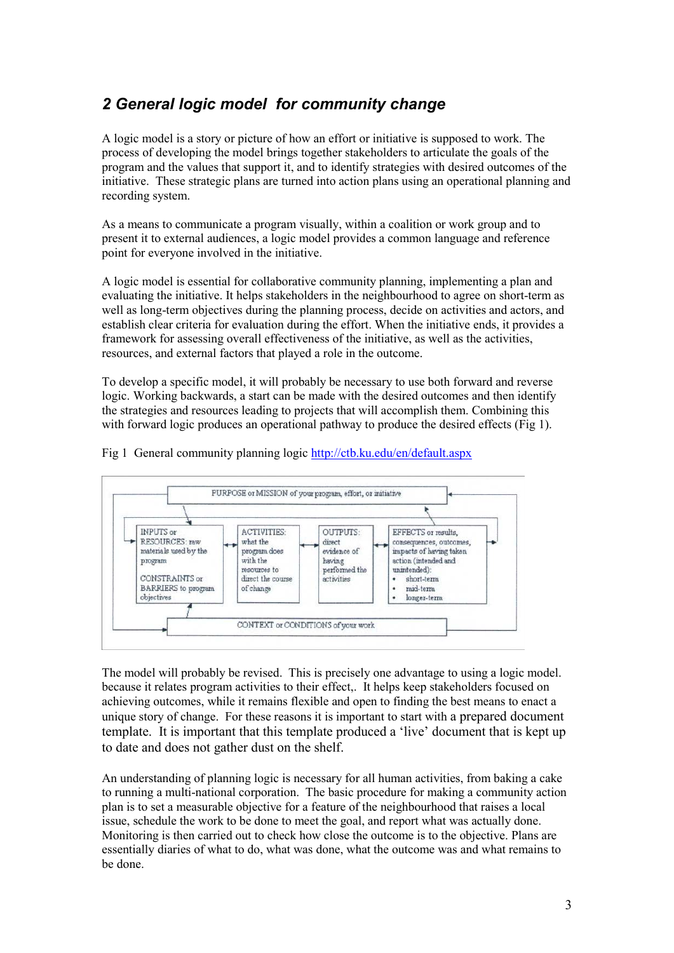# *2 General logic model for community change*

A logic model is a story or picture of how an effort or initiative is supposed to work. The process of developing the model brings together stakeholders to articulate the goals of the program and the values that support it, and to identify strategies with desired outcomes of the initiative. These strategic plans are turned into action plans using an operational planning and recording system.

As a means to communicate a program visually, within a coalition or work group and to present it to external audiences, a logic model provides a common language and reference point for everyone involved in the initiative.

A logic model is essential for collaborative community planning, implementing a plan and evaluating the initiative. It helps stakeholders in the neighbourhood to agree on short-term as well as long-term objectives during the planning process, decide on activities and actors, and establish clear criteria for evaluation during the effort. When the initiative ends, it provides a framework for assessing overall effectiveness of the initiative, as well as the activities, resources, and external factors that played a role in the outcome.

To develop a specific model, it will probably be necessary to use both forward and reverse logic. Working backwards, a start can be made with the desired outcomes and then identify the strategies and resources leading to projects that will accomplish them. Combining this with forward logic produces an operational pathway to produce the desired effects (Fig 1).



Fig 1 General community planning logic http://ctb.ku.edu/en/default.aspx

The model will probably be revised. This is precisely one advantage to using a logic model. because it relates program activities to their effect,. It helps keep stakeholders focused on achieving outcomes, while it remains flexible and open to finding the best means to enact a unique story of change. For these reasons it is important to start with a prepared document template. It is important that this template produced a 'live' document that is kept up to date and does not gather dust on the shelf.

An understanding of planning logic is necessary for all human activities, from baking a cake to running a multi-national corporation. The basic procedure for making a community action plan is to set a measurable objective for a feature of the neighbourhood that raises a local issue, schedule the work to be done to meet the goal, and report what was actually done. Monitoring is then carried out to check how close the outcome is to the objective. Plans are essentially diaries of what to do, what was done, what the outcome was and what remains to be done.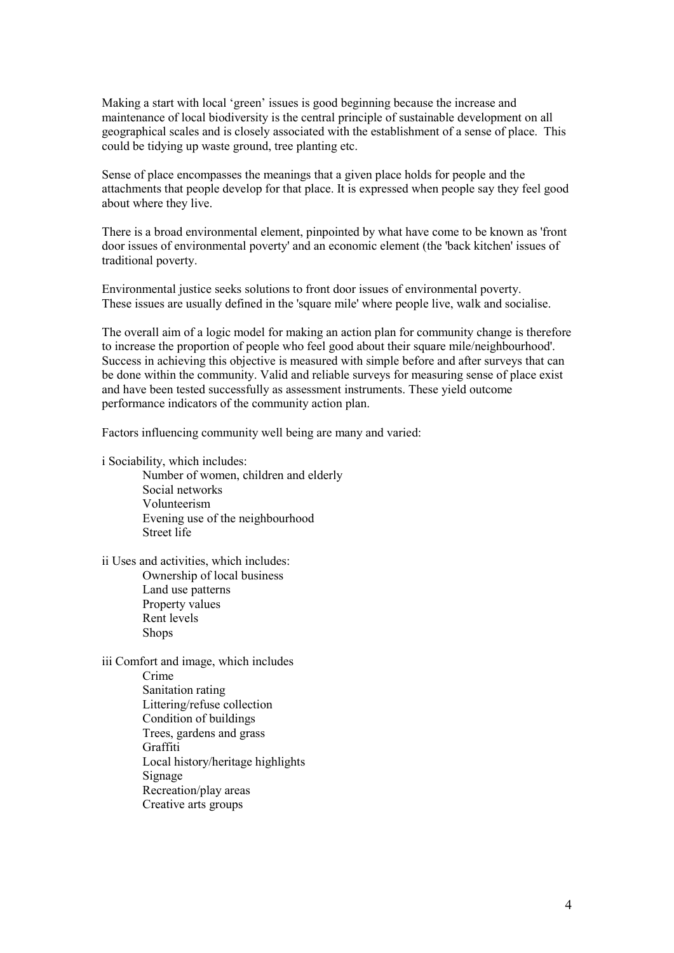Making a start with local 'green' issues is good beginning because the increase and maintenance of local biodiversity is the central principle of sustainable development on all geographical scales and is closely associated with the establishment of a sense of place. This could be tidying up waste ground, tree planting etc.

Sense of place encompasses the meanings that a given place holds for people and the attachments that people develop for that place. It is expressed when people say they feel good about where they live.

There is a broad environmental element, pinpointed by what have come to be known as 'front door issues of environmental poverty' and an economic element (the 'back kitchen' issues of traditional poverty.

Environmental justice seeks solutions to front door issues of environmental poverty. These issues are usually defined in the 'square mile' where people live, walk and socialise.

The overall aim of a logic model for making an action plan for community change is therefore to increase the proportion of people who feel good about their square mile/neighbourhood'. Success in achieving this objective is measured with simple before and after surveys that can be done within the community. Valid and reliable surveys for measuring sense of place exist and have been tested successfully as assessment instruments. These yield outcome performance indicators of the community action plan.

Factors influencing community well being are many and varied:

i Sociability, which includes:

Number of women, children and elderly Social networks Volunteerism Evening use of the neighbourhood Street life

ii Uses and activities, which includes: Ownership of local business Land use patterns Property values Rent levels Shops

iii Comfort and image, which includes Crime Sanitation rating Littering/refuse collection Condition of buildings Trees, gardens and grass Graffiti Local history/heritage highlights Signage Recreation/play areas Creative arts groups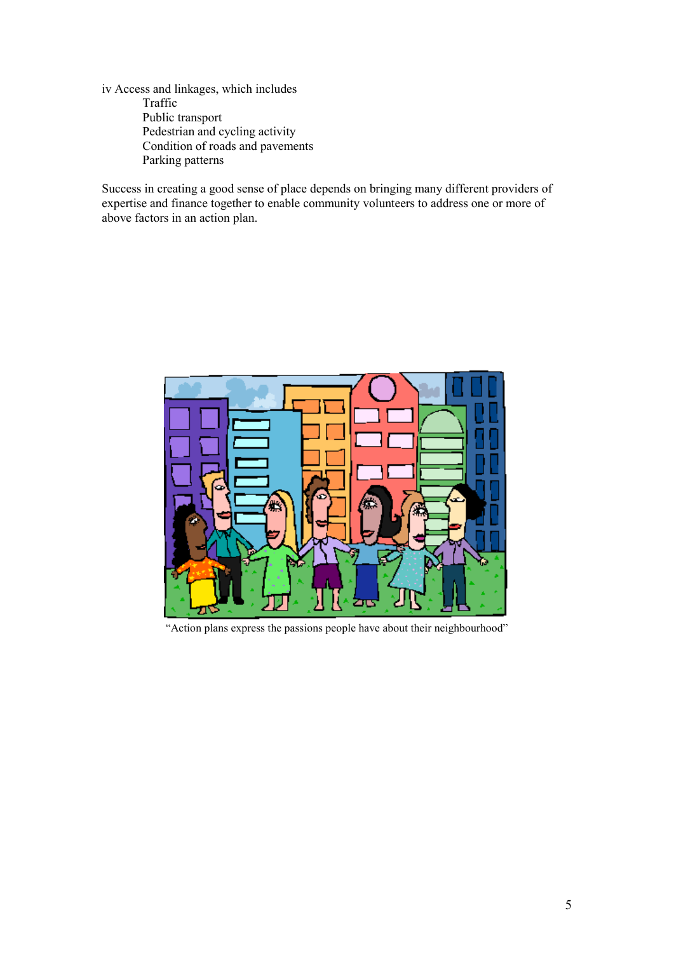iv Access and linkages, which includes Traffic Public transport Pedestrian and cycling activity Condition of roads and pavements Parking patterns

Success in creating a good sense of place depends on bringing many different providers of expertise and finance together to enable community volunteers to address one or more of above factors in an action plan.



"Action plans express the passions people have about their neighbourhood"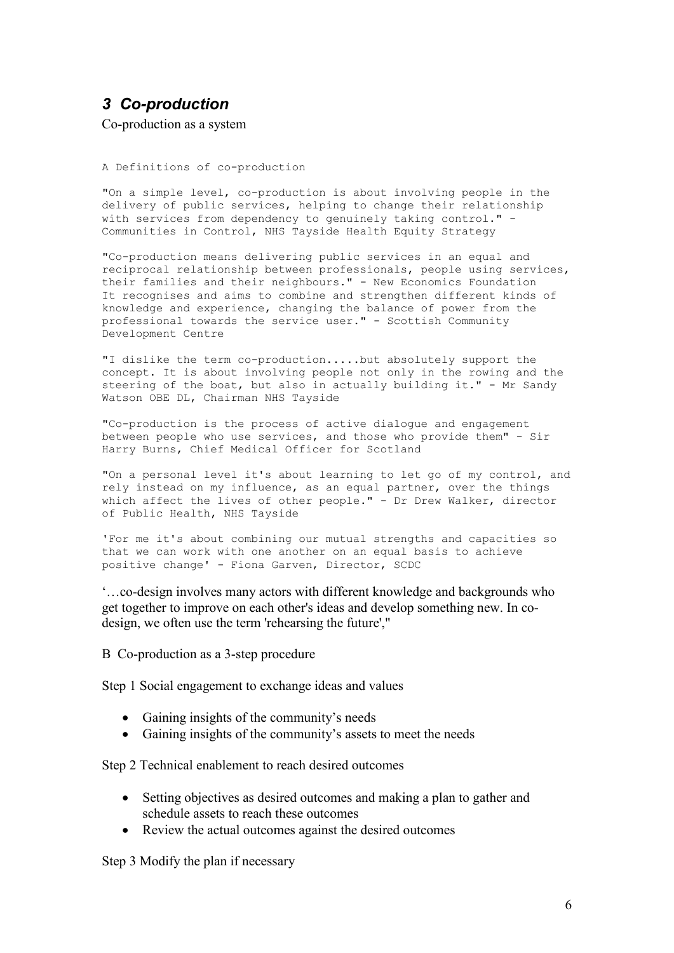### *3 Co-production*

Co-production as a system

A Definitions of co-production

"On a simple level, co-production is about involving people in the delivery of public services, helping to change their relationship with services from dependency to genuinely taking control." -Communities in Control, NHS Tayside Health Equity Strategy

"Co-production means delivering public services in an equal and reciprocal relationship between professionals, people using services, their families and their neighbours." - New Economics Foundation It recognises and aims to combine and strengthen different kinds of knowledge and experience, changing the balance of power from the professional towards the service user." - Scottish Community Development Centre

"I dislike the term co-production.....but absolutely support the concept. It is about involving people not only in the rowing and the steering of the boat, but also in actually building it." - Mr Sandy Watson OBE DL, Chairman NHS Tayside

"Co-production is the process of active dialogue and engagement between people who use services, and those who provide them" - Sir Harry Burns, Chief Medical Officer for Scotland

"On a personal level it's about learning to let go of my control, and rely instead on my influence, as an equal partner, over the things which affect the lives of other people." - Dr Drew Walker, director of Public Health, NHS Tayside

'For me it's about combining our mutual strengths and capacities so that we can work with one another on an equal basis to achieve positive change' - Fiona Garven, Director, SCDC

'…co-design involves many actors with different knowledge and backgrounds who get together to improve on each other's ideas and develop something new. In codesign, we often use the term 'rehearsing the future',"

B Co-production as a 3-step procedure

Step 1 Social engagement to exchange ideas and values

- Gaining insights of the community's needs
- Gaining insights of the community's assets to meet the needs

Step 2 Technical enablement to reach desired outcomes

- Setting objectives as desired outcomes and making a plan to gather and schedule assets to reach these outcomes
- Review the actual outcomes against the desired outcomes

Step 3 Modify the plan if necessary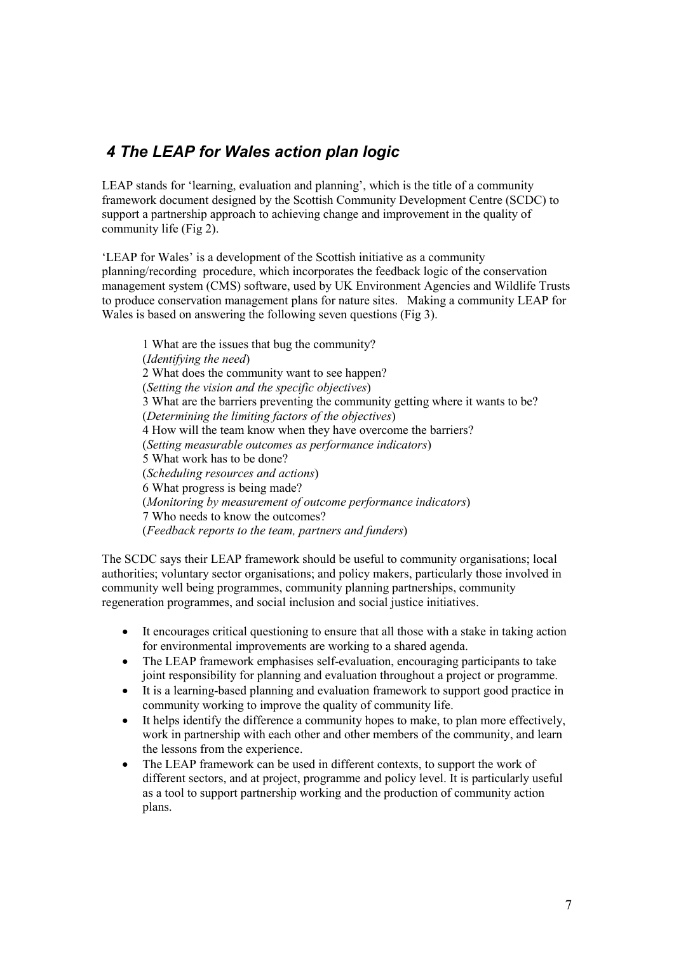### *4 The LEAP for Wales action plan logic*

LEAP stands for 'learning, evaluation and planning', which is the title of a community framework document designed by the Scottish Community Development Centre (SCDC) to support a partnership approach to achieving change and improvement in the quality of community life (Fig 2).

'LEAP for Wales' is a development of the Scottish initiative as a community planning/recording procedure, which incorporates the feedback logic of the conservation management system (CMS) software, used by UK Environment Agencies and Wildlife Trusts to produce conservation management plans for nature sites. Making a community LEAP for Wales is based on answering the following seven questions (Fig 3).

1 What are the issues that bug the community? (*Identifying the need*) 2 What does the community want to see happen? (*Setting the vision and the specific objectives*) 3 What are the barriers preventing the community getting where it wants to be? (*Determining the limiting factors of the objectives*) 4 How will the team know when they have overcome the barriers? (*Setting measurable outcomes as performance indicators*) 5 What work has to be done? (*Scheduling resources and actions*) 6 What progress is being made? (*Monitoring by measurement of outcome performance indicators*) 7 Who needs to know the outcomes? (*Feedback reports to the team, partners and funders*)

The SCDC says their LEAP framework should be useful to community organisations; local authorities; voluntary sector organisations; and policy makers, particularly those involved in community well being programmes, community planning partnerships, community regeneration programmes, and social inclusion and social justice initiatives.

- It encourages critical questioning to ensure that all those with a stake in taking action for environmental improvements are working to a shared agenda.
- The LEAP framework emphasises self-evaluation, encouraging participants to take joint responsibility for planning and evaluation throughout a project or programme.
- It is a learning-based planning and evaluation framework to support good practice in community working to improve the quality of community life.
- It helps identify the difference a community hopes to make, to plan more effectively, work in partnership with each other and other members of the community, and learn the lessons from the experience.
- The LEAP framework can be used in different contexts, to support the work of different sectors, and at project, programme and policy level. It is particularly useful as a tool to support partnership working and the production of community action plans.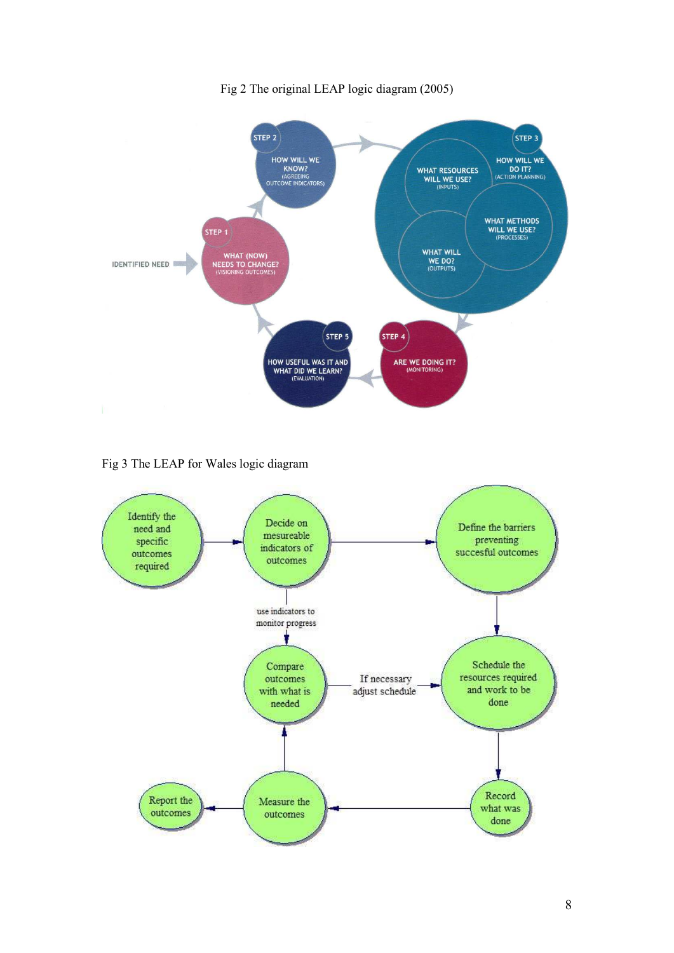

Fig 2 The original LEAP logic diagram (2005)

Fig 3 The LEAP for Wales logic diagram

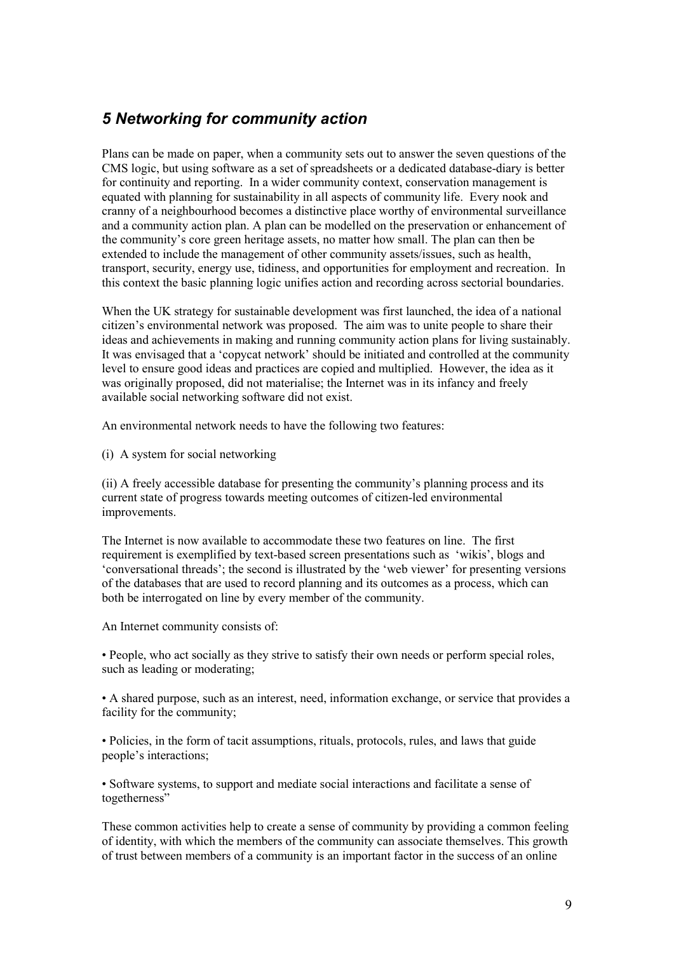### *5 Networking for community action*

Plans can be made on paper, when a community sets out to answer the seven questions of the CMS logic, but using software as a set of spreadsheets or a dedicated database-diary is better for continuity and reporting. In a wider community context, conservation management is equated with planning for sustainability in all aspects of community life. Every nook and cranny of a neighbourhood becomes a distinctive place worthy of environmental surveillance and a community action plan. A plan can be modelled on the preservation or enhancement of the community's core green heritage assets, no matter how small. The plan can then be extended to include the management of other community assets/issues, such as health, transport, security, energy use, tidiness, and opportunities for employment and recreation. In this context the basic planning logic unifies action and recording across sectorial boundaries.

When the UK strategy for sustainable development was first launched, the idea of a national citizen's environmental network was proposed. The aim was to unite people to share their ideas and achievements in making and running community action plans for living sustainably. It was envisaged that a 'copycat network' should be initiated and controlled at the community level to ensure good ideas and practices are copied and multiplied. However, the idea as it was originally proposed, did not materialise; the Internet was in its infancy and freely available social networking software did not exist.

An environmental network needs to have the following two features:

(i) A system for social networking

(ii) A freely accessible database for presenting the community's planning process and its current state of progress towards meeting outcomes of citizen-led environmental improvements.

The Internet is now available to accommodate these two features on line. The first requirement is exemplified by text-based screen presentations such as 'wikis', blogs and 'conversational threads'; the second is illustrated by the 'web viewer' for presenting versions of the databases that are used to record planning and its outcomes as a process, which can both be interrogated on line by every member of the community.

An Internet community consists of:

• People, who act socially as they strive to satisfy their own needs or perform special roles, such as leading or moderating;

• A shared purpose, such as an interest, need, information exchange, or service that provides a facility for the community;

• Policies, in the form of tacit assumptions, rituals, protocols, rules, and laws that guide people's interactions;

• Software systems, to support and mediate social interactions and facilitate a sense of togetherness"

These common activities help to create a sense of community by providing a common feeling of identity, with which the members of the community can associate themselves. This growth of trust between members of a community is an important factor in the success of an online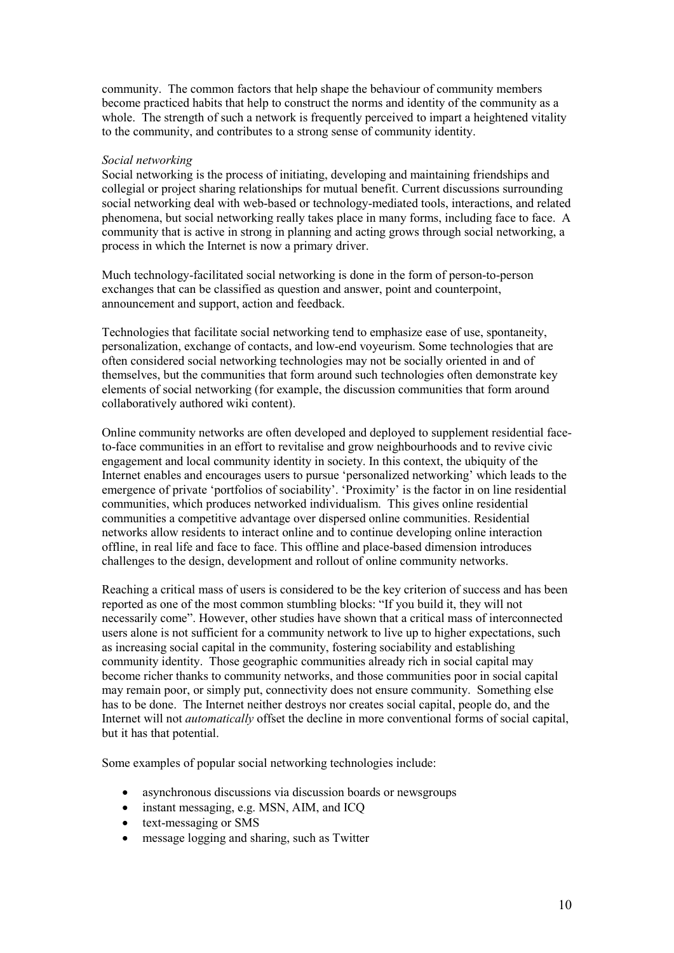community. The common factors that help shape the behaviour of community members become practiced habits that help to construct the norms and identity of the community as a whole. The strength of such a network is frequently perceived to impart a heightened vitality to the community, and contributes to a strong sense of community identity.

#### *Social networking*

Social networking is the process of initiating, developing and maintaining friendships and collegial or project sharing relationships for mutual benefit. Current discussions surrounding social networking deal with web-based or technology-mediated tools, interactions, and related phenomena, but social networking really takes place in many forms, including face to face. A community that is active in strong in planning and acting grows through social networking, a process in which the Internet is now a primary driver.

Much technology-facilitated social networking is done in the form of person-to-person exchanges that can be classified as question and answer, point and counterpoint, announcement and support, action and feedback.

Technologies that facilitate social networking tend to emphasize ease of use, spontaneity, personalization, exchange of contacts, and low-end voyeurism. Some technologies that are often considered social networking technologies may not be socially oriented in and of themselves, but the communities that form around such technologies often demonstrate key elements of social networking (for example, the discussion communities that form around collaboratively authored wiki content).

Online community networks are often developed and deployed to supplement residential faceto-face communities in an effort to revitalise and grow neighbourhoods and to revive civic engagement and local community identity in society. In this context, the ubiquity of the Internet enables and encourages users to pursue 'personalized networking' which leads to the emergence of private 'portfolios of sociability'. 'Proximity' is the factor in on line residential communities, which produces networked individualism. This gives online residential communities a competitive advantage over dispersed online communities. Residential networks allow residents to interact online and to continue developing online interaction offline, in real life and face to face. This offline and place-based dimension introduces challenges to the design, development and rollout of online community networks.

Reaching a critical mass of users is considered to be the key criterion of success and has been reported as one of the most common stumbling blocks: "If you build it, they will not necessarily come". However, other studies have shown that a critical mass of interconnected users alone is not sufficient for a community network to live up to higher expectations, such as increasing social capital in the community, fostering sociability and establishing community identity. Those geographic communities already rich in social capital may become richer thanks to community networks, and those communities poor in social capital may remain poor, or simply put, connectivity does not ensure community. Something else has to be done. The Internet neither destroys nor creates social capital, people do, and the Internet will not *automatically* offset the decline in more conventional forms of social capital, but it has that potential.

Some examples of popular social networking technologies include:

- asynchronous discussions via discussion boards or newsgroups
- instant messaging, e.g. MSN, AIM, and ICQ
- text-messaging or SMS
- message logging and sharing, such as Twitter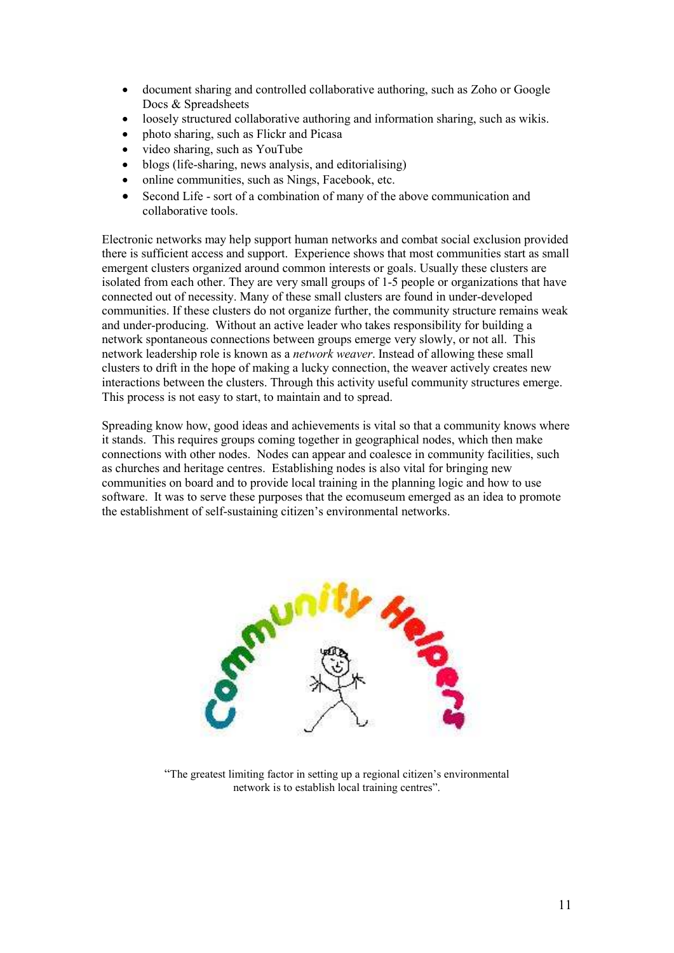- document sharing and controlled collaborative authoring, such as Zoho or Google Docs & Spreadsheets
- loosely structured collaborative authoring and information sharing, such as wikis.
- photo sharing, such as Flickr and Picasa
- video sharing, such as YouTube
- blogs (life-sharing, news analysis, and editorialising)
- online communities, such as Nings, Facebook, etc.
- Second Life sort of a combination of many of the above communication and collaborative tools.

Electronic networks may help support human networks and combat social exclusion provided there is sufficient access and support. Experience shows that most communities start as small emergent clusters organized around common interests or goals. Usually these clusters are isolated from each other. They are very small groups of 1-5 people or organizations that have connected out of necessity. Many of these small clusters are found in under-developed communities. If these clusters do not organize further, the community structure remains weak and under-producing. Without an active leader who takes responsibility for building a network spontaneous connections between groups emerge very slowly, or not all. This network leadership role is known as a *network weaver*. Instead of allowing these small clusters to drift in the hope of making a lucky connection, the weaver actively creates new interactions between the clusters. Through this activity useful community structures emerge. This process is not easy to start, to maintain and to spread.

Spreading know how, good ideas and achievements is vital so that a community knows where it stands. This requires groups coming together in geographical nodes, which then make connections with other nodes. Nodes can appear and coalesce in community facilities, such as churches and heritage centres. Establishing nodes is also vital for bringing new communities on board and to provide local training in the planning logic and how to use software. It was to serve these purposes that the ecomuseum emerged as an idea to promote the establishment of self-sustaining citizen's environmental networks.



"The greatest limiting factor in setting up a regional citizen's environmental network is to establish local training centres".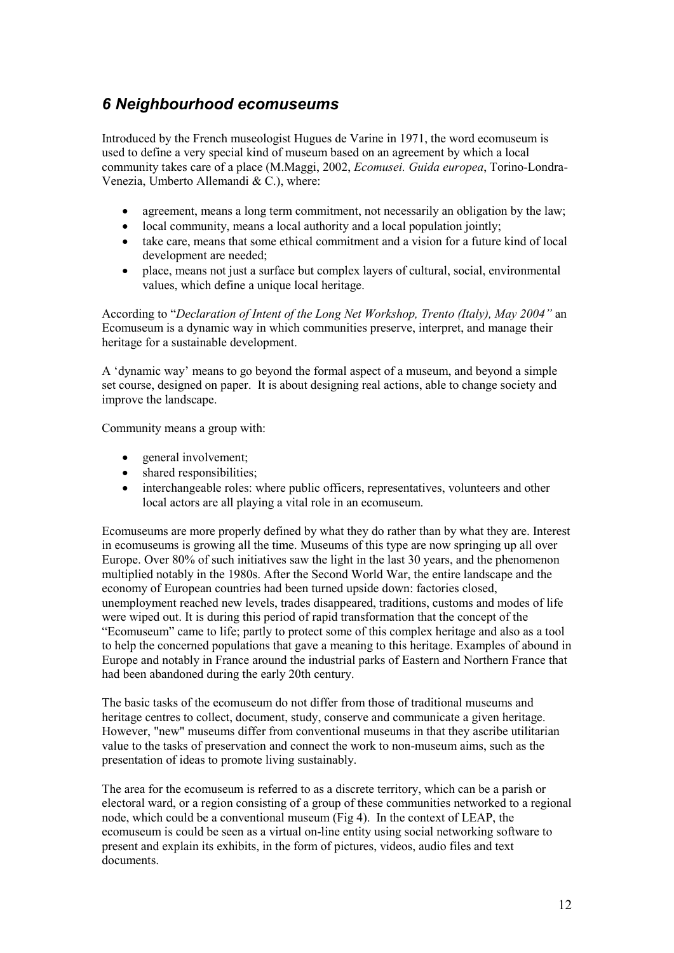### *6 Neighbourhood ecomuseums*

Introduced by the French museologist Hugues de Varine in 1971, the word ecomuseum is used to define a very special kind of museum based on an agreement by which a local community takes care of a place (M.Maggi, 2002, *Ecomusei. Guida europea*, Torino-Londra-Venezia, Umberto Allemandi & C.), where:

- agreement, means a long term commitment, not necessarily an obligation by the law;
- local community, means a local authority and a local population jointly;
- take care, means that some ethical commitment and a vision for a future kind of local development are needed;
- place, means not just a surface but complex layers of cultural, social, environmental values, which define a unique local heritage.

According to "*Declaration of Intent of the Long Net Workshop, Trento (Italy), May 2004"* an Ecomuseum is a dynamic way in which communities preserve, interpret, and manage their heritage for a sustainable development.

A 'dynamic way' means to go beyond the formal aspect of a museum, and beyond a simple set course, designed on paper. It is about designing real actions, able to change society and improve the landscape.

Community means a group with:

- general involvement;
- shared responsibilities;
- interchangeable roles: where public officers, representatives, volunteers and other local actors are all playing a vital role in an ecomuseum.

Ecomuseums are more properly defined by what they do rather than by what they are. Interest in ecomuseums is growing all the time. Museums of this type are now springing up all over Europe. Over 80% of such initiatives saw the light in the last 30 years, and the phenomenon multiplied notably in the 1980s. After the Second World War, the entire landscape and the economy of European countries had been turned upside down: factories closed, unemployment reached new levels, trades disappeared, traditions, customs and modes of life were wiped out. It is during this period of rapid transformation that the concept of the "Ecomuseum" came to life; partly to protect some of this complex heritage and also as a tool to help the concerned populations that gave a meaning to this heritage. Examples of abound in Europe and notably in France around the industrial parks of Eastern and Northern France that had been abandoned during the early 20th century.

The basic tasks of the ecomuseum do not differ from those of traditional museums and heritage centres to collect, document, study, conserve and communicate a given heritage. However, "new" museums differ from conventional museums in that they ascribe utilitarian value to the tasks of preservation and connect the work to non-museum aims, such as the presentation of ideas to promote living sustainably.

The area for the ecomuseum is referred to as a discrete territory, which can be a parish or electoral ward, or a region consisting of a group of these communities networked to a regional node, which could be a conventional museum (Fig 4). In the context of LEAP, the ecomuseum is could be seen as a virtual on-line entity using social networking software to present and explain its exhibits, in the form of pictures, videos, audio files and text documents.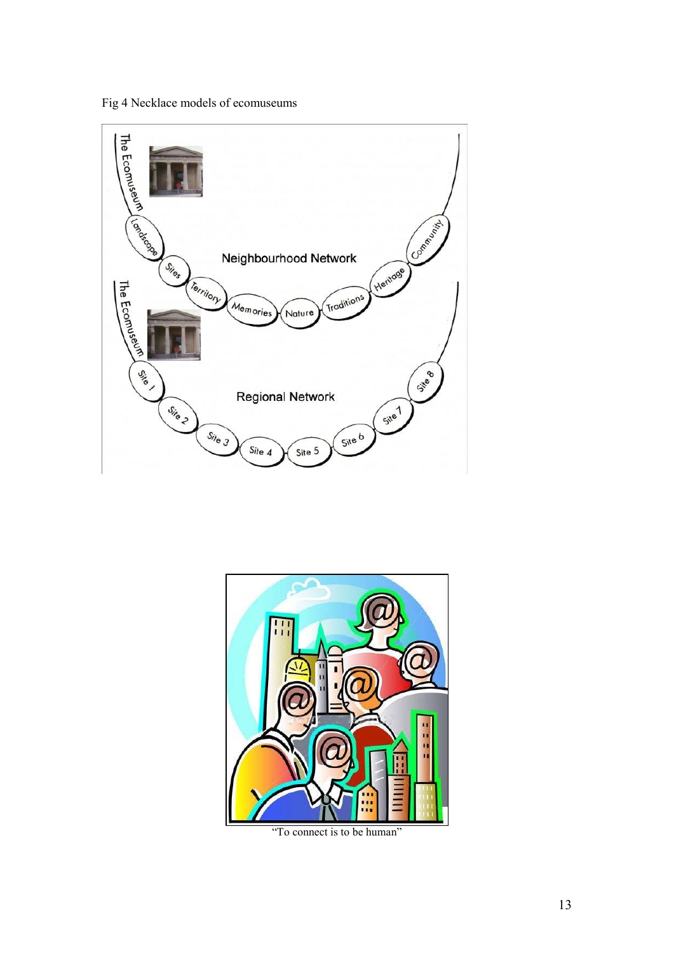Fig 4 Necklace models of ecomuseums





"To connect is to be human"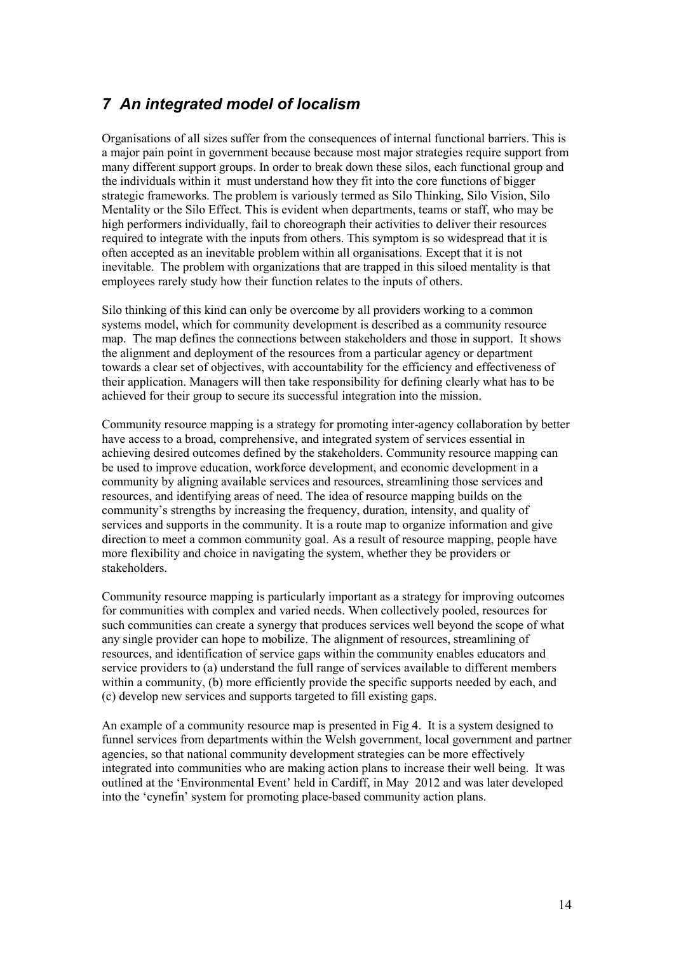### *7 An integrated model of localism*

Organisations of all sizes suffer from the consequences of internal functional barriers. This is a major pain point in government because because most major strategies require support from many different support groups. In order to break down these silos, each functional group and the individuals within it must understand how they fit into the core functions of bigger strategic frameworks. The problem is variously termed as Silo Thinking, Silo Vision, Silo Mentality or the Silo Effect. This is evident when departments, teams or staff, who may be high performers individually, fail to choreograph their activities to deliver their resources required to integrate with the inputs from others. This symptom is so widespread that it is often accepted as an inevitable problem within all organisations. Except that it is not inevitable. The problem with organizations that are trapped in this siloed mentality is that employees rarely study how their function relates to the inputs of others.

Silo thinking of this kind can only be overcome by all providers working to a common systems model, which for community development is described as a community resource map. The map defines the connections between stakeholders and those in support. It shows the alignment and deployment of the resources from a particular agency or department towards a clear set of objectives, with accountability for the efficiency and effectiveness of their application. Managers will then take responsibility for defining clearly what has to be achieved for their group to secure its successful integration into the mission.

Community resource mapping is a strategy for promoting inter-agency collaboration by better have access to a broad, comprehensive, and integrated system of services essential in achieving desired outcomes defined by the stakeholders. Community resource mapping can be used to improve education, workforce development, and economic development in a community by aligning available services and resources, streamlining those services and resources, and identifying areas of need. The idea of resource mapping builds on the community's strengths by increasing the frequency, duration, intensity, and quality of services and supports in the community. It is a route map to organize information and give direction to meet a common community goal. As a result of resource mapping, people have more flexibility and choice in navigating the system, whether they be providers or stakeholders.

Community resource mapping is particularly important as a strategy for improving outcomes for communities with complex and varied needs. When collectively pooled, resources for such communities can create a synergy that produces services well beyond the scope of what any single provider can hope to mobilize. The alignment of resources, streamlining of resources, and identification of service gaps within the community enables educators and service providers to (a) understand the full range of services available to different members within a community, (b) more efficiently provide the specific supports needed by each, and (c) develop new services and supports targeted to fill existing gaps.

An example of a community resource map is presented in Fig 4. It is a system designed to funnel services from departments within the Welsh government, local government and partner agencies, so that national community development strategies can be more effectively integrated into communities who are making action plans to increase their well being. It was outlined at the 'Environmental Event' held in Cardiff, in May 2012 and was later developed into the 'cynefin' system for promoting place-based community action plans.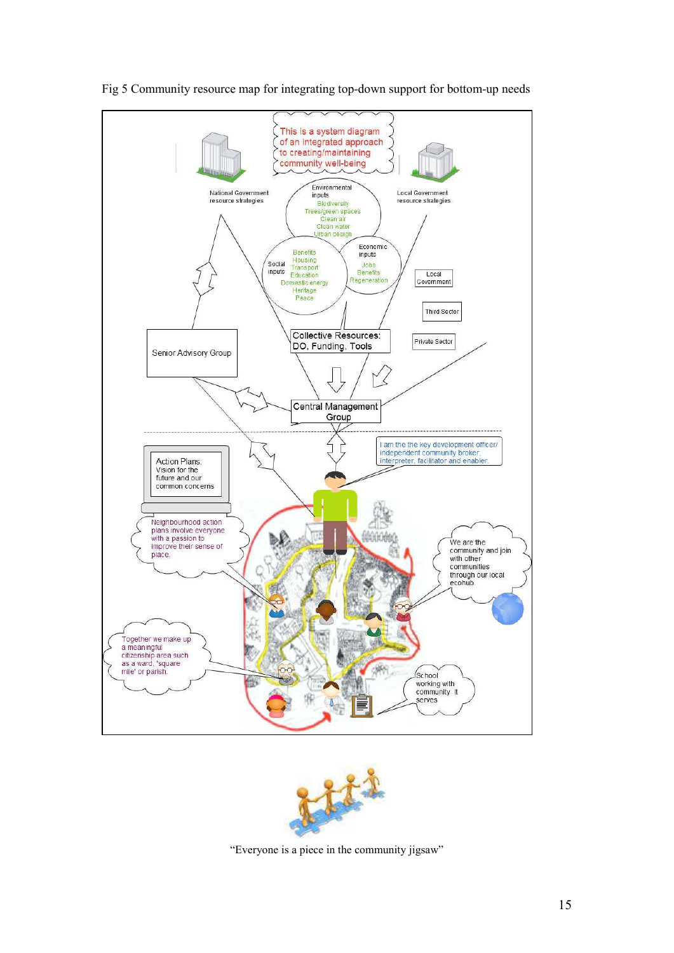

Fig 5 Community resource map for integrating top-down support for bottom-up needs

![](_page_14_Figure_2.jpeg)

"Everyone is a piece in the community jigsaw"